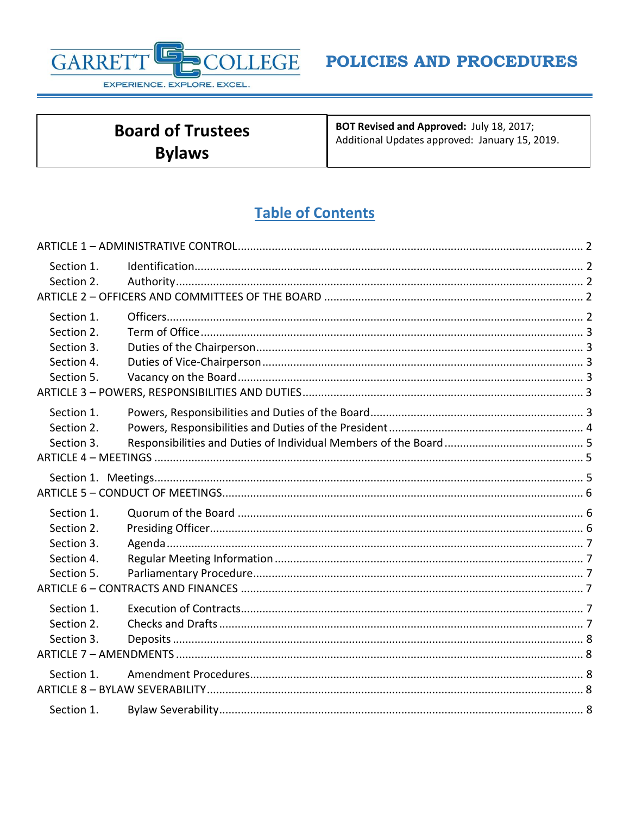

| <b>Board of Trustees</b> | BOT Revised and Approved: July 18, 2017;<br>Additional Updates approved: January 15, 2019. |
|--------------------------|--------------------------------------------------------------------------------------------|
| <b>Bylaws</b>            |                                                                                            |

# **Table of Contents**

| Section 1. |  |
|------------|--|
| Section 2. |  |
|            |  |
| Section 1. |  |
| Section 2. |  |
| Section 3. |  |
| Section 4. |  |
| Section 5. |  |
|            |  |
| Section 1. |  |
| Section 2. |  |
| Section 3. |  |
|            |  |
|            |  |
|            |  |
| Section 1. |  |
| Section 2. |  |
| Section 3. |  |
| Section 4. |  |
| Section 5. |  |
|            |  |
| Section 1. |  |
| Section 2. |  |
| Section 3. |  |
|            |  |
| Section 1. |  |
|            |  |
| Section 1. |  |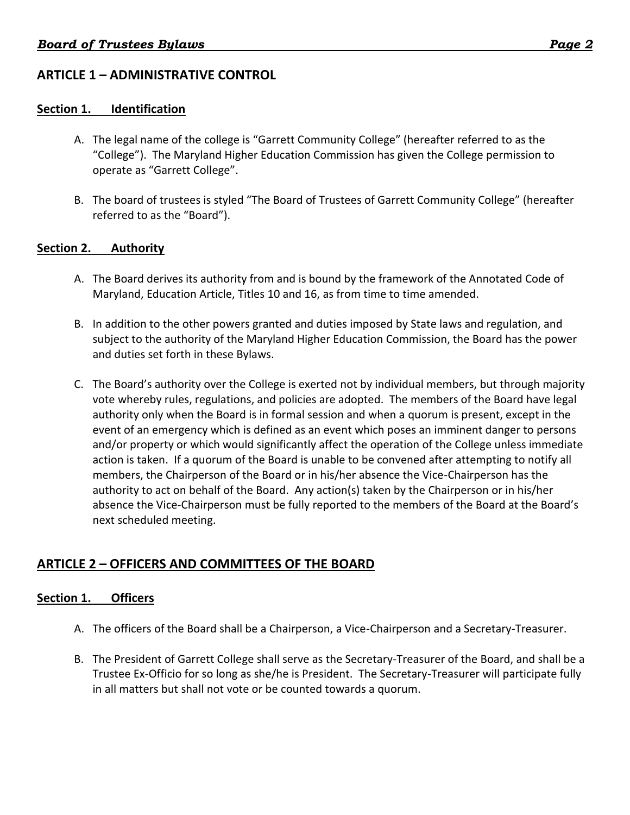## <span id="page-1-0"></span>**ARTICLE 1 – ADMINISTRATIVE CONTROL**

### <span id="page-1-1"></span>**Section 1. Identification**

- A. The legal name of the college is "Garrett Community College" (hereafter referred to as the "College"). The Maryland Higher Education Commission has given the College permission to operate as "Garrett College".
- B. The board of trustees is styled "The Board of Trustees of Garrett Community College" (hereafter referred to as the "Board").

#### <span id="page-1-2"></span>**Section 2. Authority**

- A. The Board derives its authority from and is bound by the framework of the Annotated Code of Maryland, Education Article, Titles 10 and 16, as from time to time amended.
- B. In addition to the other powers granted and duties imposed by State laws and regulation, and subject to the authority of the Maryland Higher Education Commission, the Board has the power and duties set forth in these Bylaws.
- C. The Board's authority over the College is exerted not by individual members, but through majority vote whereby rules, regulations, and policies are adopted. The members of the Board have legal authority only when the Board is in formal session and when a quorum is present, except in the event of an emergency which is defined as an event which poses an imminent danger to persons and/or property or which would significantly affect the operation of the College unless immediate action is taken. If a quorum of the Board is unable to be convened after attempting to notify all members, the Chairperson of the Board or in his/her absence the Vice-Chairperson has the authority to act on behalf of the Board. Any action(s) taken by the Chairperson or in his/her absence the Vice-Chairperson must be fully reported to the members of the Board at the Board's next scheduled meeting.

## <span id="page-1-3"></span>**ARTICLE 2 – OFFICERS AND COMMITTEES OF THE BOARD**

### <span id="page-1-4"></span>**Section 1. Officers**

- A. The officers of the Board shall be a Chairperson, a Vice-Chairperson and a Secretary-Treasurer.
- B. The President of Garrett College shall serve as the Secretary-Treasurer of the Board, and shall be a Trustee Ex-Officio for so long as she/he is President. The Secretary-Treasurer will participate fully in all matters but shall not vote or be counted towards a quorum.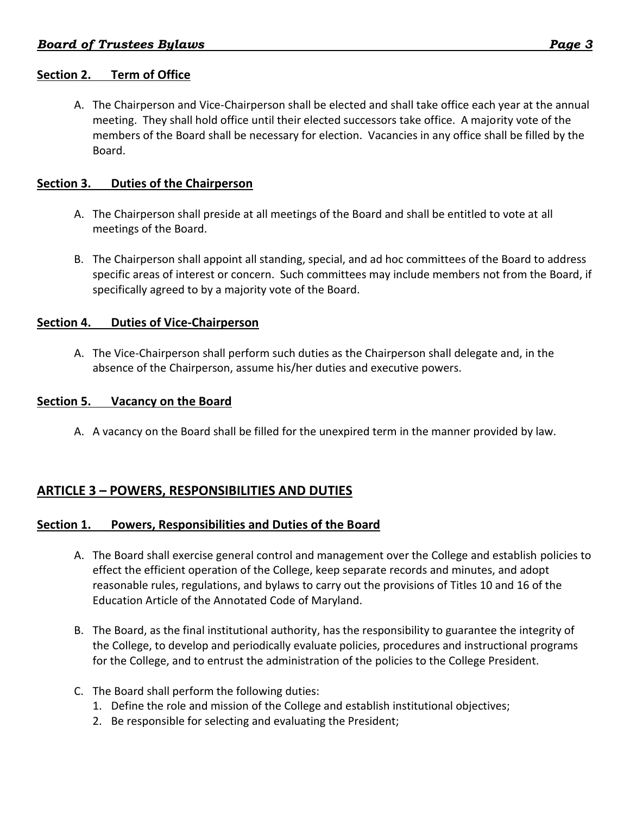## <span id="page-2-0"></span>**Section 2. Term of Office**

A. The Chairperson and Vice-Chairperson shall be elected and shall take office each year at the annual meeting. They shall hold office until their elected successors take office. A majority vote of the members of the Board shall be necessary for election. Vacancies in any office shall be filled by the Board.

### <span id="page-2-1"></span>**Section 3. Duties of the Chairperson**

- A. The Chairperson shall preside at all meetings of the Board and shall be entitled to vote at all meetings of the Board.
- B. The Chairperson shall appoint all standing, special, and ad hoc committees of the Board to address specific areas of interest or concern. Such committees may include members not from the Board, if specifically agreed to by a majority vote of the Board.

### <span id="page-2-2"></span>**Section 4. Duties of Vice-Chairperson**

A. The Vice-Chairperson shall perform such duties as the Chairperson shall delegate and, in the absence of the Chairperson, assume his/her duties and executive powers.

### <span id="page-2-3"></span>**Section 5. Vacancy on the Board**

A. A vacancy on the Board shall be filled for the unexpired term in the manner provided by law.

## <span id="page-2-4"></span>**ARTICLE 3 – POWERS, RESPONSIBILITIES AND DUTIES**

### <span id="page-2-5"></span>**Section 1. Powers, Responsibilities and Duties of the Board**

- A. The Board shall exercise general control and management over the College and establish policies to effect the efficient operation of the College, keep separate records and minutes, and adopt reasonable rules, regulations, and bylaws to carry out the provisions of Titles 10 and 16 of the Education Article of the Annotated Code of Maryland.
- B. The Board, as the final institutional authority, has the responsibility to guarantee the integrity of the College, to develop and periodically evaluate policies, procedures and instructional programs for the College, and to entrust the administration of the policies to the College President.
- C. The Board shall perform the following duties:
	- 1. Define the role and mission of the College and establish institutional objectives;
	- 2. Be responsible for selecting and evaluating the President;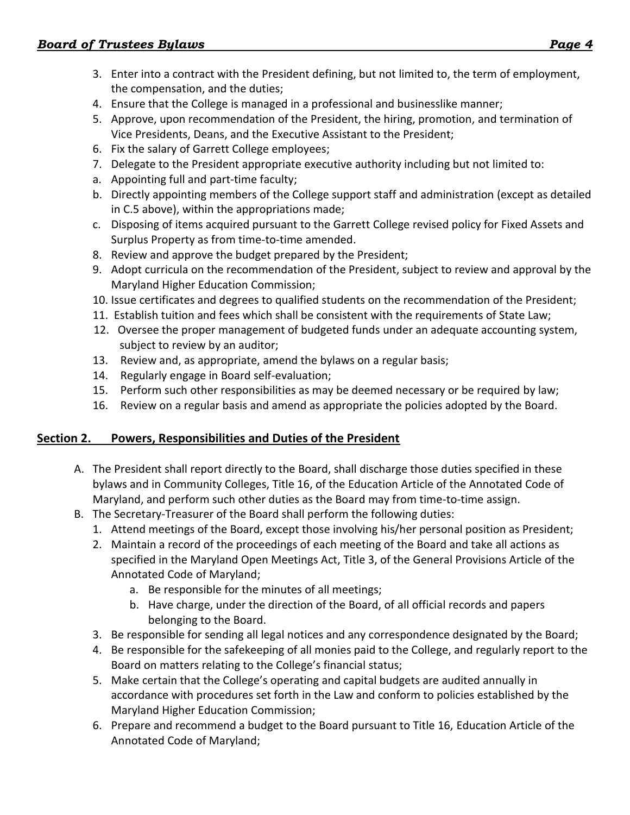- 3. Enter into a contract with the President defining, but not limited to, the term of employment, the compensation, and the duties;
- 4. Ensure that the College is managed in a professional and businesslike manner;
- 5. Approve, upon recommendation of the President, the hiring, promotion, and termination of Vice Presidents, Deans, and the Executive Assistant to the President;
- 6. Fix the salary of Garrett College employees;
- 7. Delegate to the President appropriate executive authority including but not limited to:
- a. Appointing full and part-time faculty;
- b. Directly appointing members of the College support staff and administration (except as detailed in C.5 above), within the appropriations made;
- c. Disposing of items acquired pursuant to the Garrett College revised policy for Fixed Assets and Surplus Property as from time-to-time amended.
- 8. Review and approve the budget prepared by the President;
- 9. Adopt curricula on the recommendation of the President, subject to review and approval by the Maryland Higher Education Commission;
- 10. Issue certificates and degrees to qualified students on the recommendation of the President;
- 11. Establish tuition and fees which shall be consistent with the requirements of State Law;
- 12. Oversee the proper management of budgeted funds under an adequate accounting system, subject to review by an auditor;
- 13. Review and, as appropriate, amend the bylaws on a regular basis;
- 14. Regularly engage in Board self-evaluation;
- 15. Perform such other responsibilities as may be deemed necessary or be required by law;
- 16. Review on a regular basis and amend as appropriate the policies adopted by the Board.

## <span id="page-3-0"></span>**Section 2. Powers, Responsibilities and Duties of the President**

- A. The President shall report directly to the Board, shall discharge those duties specified in these bylaws and in Community Colleges, Title 16, of the Education Article of the Annotated Code of Maryland, and perform such other duties as the Board may from time-to-time assign.
- B. The Secretary-Treasurer of the Board shall perform the following duties:
	- 1. Attend meetings of the Board, except those involving his/her personal position as President;
	- 2. Maintain a record of the proceedings of each meeting of the Board and take all actions as specified in the Maryland Open Meetings Act, Title 3, of the General Provisions Article of the Annotated Code of Maryland;
		- a. Be responsible for the minutes of all meetings;
		- b. Have charge, under the direction of the Board, of all official records and papers belonging to the Board.
	- 3. Be responsible for sending all legal notices and any correspondence designated by the Board;
	- 4. Be responsible for the safekeeping of all monies paid to the College, and regularly report to the Board on matters relating to the College's financial status;
	- 5. Make certain that the College's operating and capital budgets are audited annually in accordance with procedures set forth in the Law and conform to policies established by the Maryland Higher Education Commission;
	- 6. Prepare and recommend a budget to the Board pursuant to Title 16, Education Article of the Annotated Code of Maryland;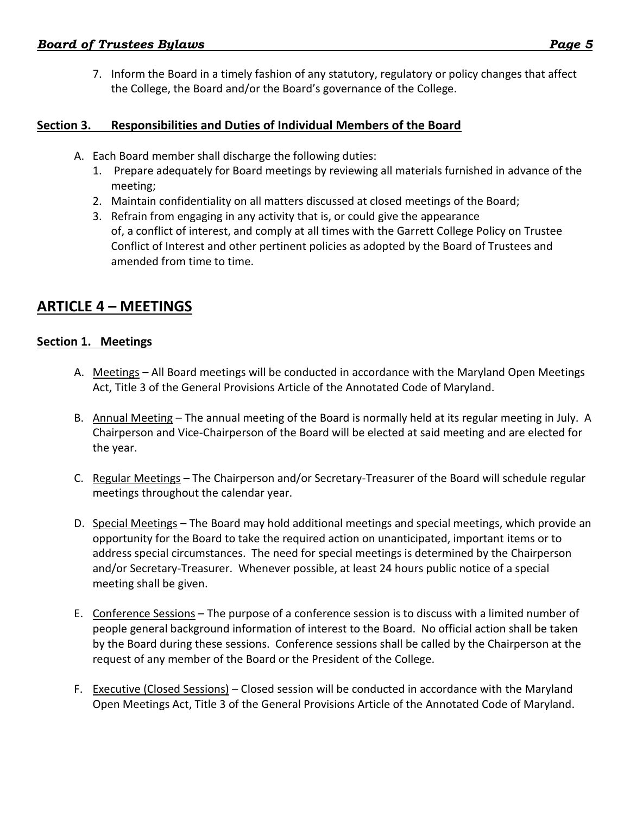7. Inform the Board in a timely fashion of any statutory, regulatory or policy changes that affect the College, the Board and/or the Board's governance of the College.

## <span id="page-4-0"></span>**Section 3. Responsibilities and Duties of Individual Members of the Board**

- A. Each Board member shall discharge the following duties:
	- 1. Prepare adequately for Board meetings by reviewing all materials furnished in advance of the meeting;
	- 2. Maintain confidentiality on all matters discussed at closed meetings of the Board;
	- 3. Refrain from engaging in any activity that is, or could give the appearance of, a conflict of interest, and comply at all times with the Garrett College Policy on Trustee Conflict of Interest and other pertinent policies as adopted by the Board of Trustees and amended from time to time.

# <span id="page-4-1"></span>**ARTICLE 4 – MEETINGS**

## <span id="page-4-2"></span>**Section 1. Meetings**

- A. Meetings All Board meetings will be conducted in accordance with the Maryland Open Meetings Act, Title 3 of the General Provisions Article of the Annotated Code of Maryland.
- B. Annual Meeting The annual meeting of the Board is normally held at its regular meeting in July. A Chairperson and Vice-Chairperson of the Board will be elected at said meeting and are elected for the year.
- C. Regular Meetings The Chairperson and/or Secretary-Treasurer of the Board will schedule regular meetings throughout the calendar year.
- D. Special Meetings The Board may hold additional meetings and special meetings, which provide an opportunity for the Board to take the required action on unanticipated, important items or to address special circumstances. The need for special meetings is determined by the Chairperson and/or Secretary-Treasurer. Whenever possible, at least 24 hours public notice of a special meeting shall be given.
- E. Conference Sessions The purpose of a conference session is to discuss with a limited number of people general background information of interest to the Board. No official action shall be taken by the Board during these sessions. Conference sessions shall be called by the Chairperson at the request of any member of the Board or the President of the College.
- F. Executive (Closed Sessions) Closed session will be conducted in accordance with the Maryland Open Meetings Act, Title 3 of the General Provisions Article of the Annotated Code of Maryland.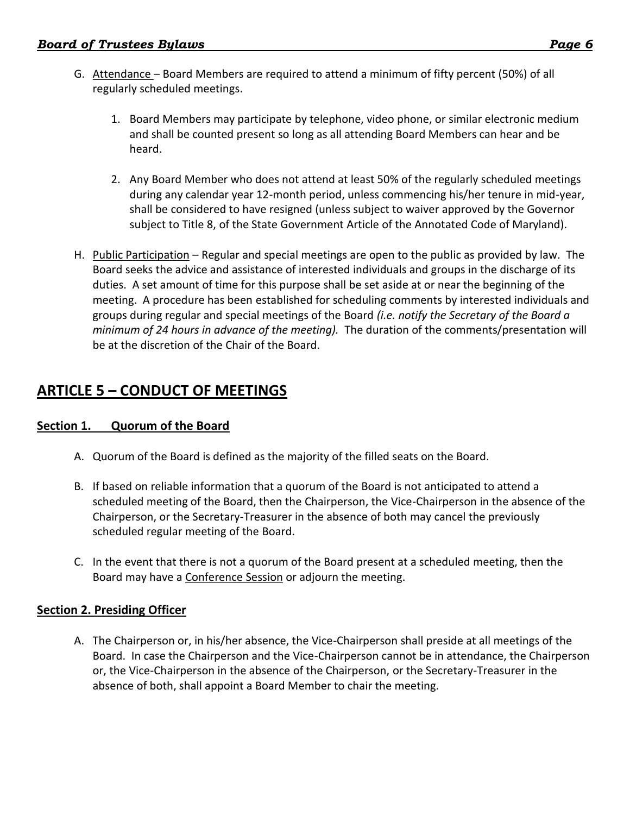- G. Attendance Board Members are required to attend a minimum of fifty percent (50%) of all regularly scheduled meetings.
	- 1. Board Members may participate by telephone, video phone, or similar electronic medium and shall be counted present so long as all attending Board Members can hear and be heard.
	- 2. Any Board Member who does not attend at least 50% of the regularly scheduled meetings during any calendar year 12-month period, unless commencing his/her tenure in mid-year, shall be considered to have resigned (unless subject to waiver approved by the Governor subject to Title 8, of the State Government Article of the Annotated Code of Maryland).
- H. Public Participation Regular and special meetings are open to the public as provided by law. The Board seeks the advice and assistance of interested individuals and groups in the discharge of its duties. A set amount of time for this purpose shall be set aside at or near the beginning of the meeting. A procedure has been established for scheduling comments by interested individuals and groups during regular and special meetings of the Board *(i.e. notify the Secretary of the Board a minimum of 24 hours in advance of the meeting).* The duration of the comments/presentation will be at the discretion of the Chair of the Board.

# <span id="page-5-0"></span>**ARTICLE 5 – CONDUCT OF MEETINGS**

## <span id="page-5-1"></span>**Section 1. Quorum of the Board**

- A. Quorum of the Board is defined as the majority of the filled seats on the Board.
- B. If based on reliable information that a quorum of the Board is not anticipated to attend a scheduled meeting of the Board, then the Chairperson, the Vice-Chairperson in the absence of the Chairperson, or the Secretary-Treasurer in the absence of both may cancel the previously scheduled regular meeting of the Board.
- C. In the event that there is not a quorum of the Board present at a scheduled meeting, then the Board may have a Conference Session or adjourn the meeting.

## <span id="page-5-2"></span>**Section 2. Presiding Officer**

A. The Chairperson or, in his/her absence, the Vice-Chairperson shall preside at all meetings of the Board. In case the Chairperson and the Vice-Chairperson cannot be in attendance, the Chairperson or, the Vice-Chairperson in the absence of the Chairperson, or the Secretary-Treasurer in the absence of both, shall appoint a Board Member to chair the meeting.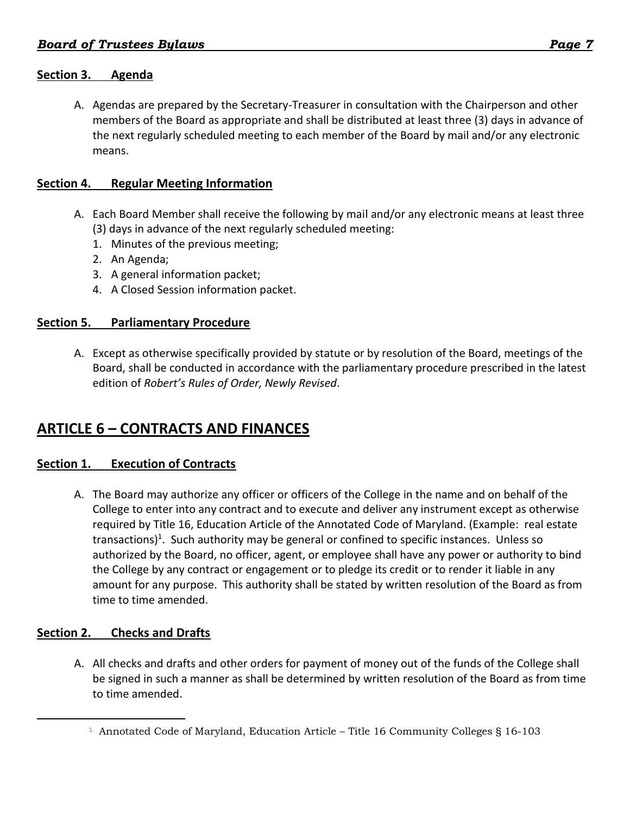## <span id="page-6-0"></span>**Section 3. Agenda**

A. Agendas are prepared by the Secretary-Treasurer in consultation with the Chairperson and other members of the Board as appropriate and shall be distributed at least three (3) days in advance of the next regularly scheduled meeting to each member of the Board by mail and/or any electronic means.

### <span id="page-6-1"></span>**Section 4. Regular Meeting Information**

- A. Each Board Member shall receive the following by mail and/or any electronic means at least three (3) days in advance of the next regularly scheduled meeting:
	- 1. Minutes of the previous meeting;
	- 2. An Agenda;
	- 3. A general information packet;
	- 4. A Closed Session information packet.

### <span id="page-6-2"></span>**Section 5. Parliamentary Procedure**

A. Except as otherwise specifically provided by statute or by resolution of the Board, meetings of the Board, shall be conducted in accordance with the parliamentary procedure prescribed in the latest edition of *Robert's Rules of Order, Newly Revised*.

# <span id="page-6-3"></span>**ARTICLE 6 – CONTRACTS AND FINANCES**

## <span id="page-6-4"></span>**Section 1. Execution of Contracts**

A. The Board may authorize any officer or officers of the College in the name and on behalf of the College to enter into any contract and to execute and deliver any instrument except as otherwise required by Title 16, Education Article of the Annotated Code of Maryland. (Example: real estate transactions)<sup>1</sup>. Such authority may be general or confined to specific instances. Unless so authorized by the Board, no officer, agent, or employee shall have any power or authority to bind the College by any contract or engagement or to pledge its credit or to render it liable in any amount for any purpose. This authority shall be stated by written resolution of the Board as from time to time amended.

## <span id="page-6-5"></span>**Section 2. Checks and Drafts**

 $\overline{a}$ 

A. All checks and drafts and other orders for payment of money out of the funds of the College shall be signed in such a manner as shall be determined by written resolution of the Board as from time to time amended.

<sup>&</sup>lt;sup>1</sup> Annotated Code of Maryland, Education Article – Title 16 Community Colleges § 16-103